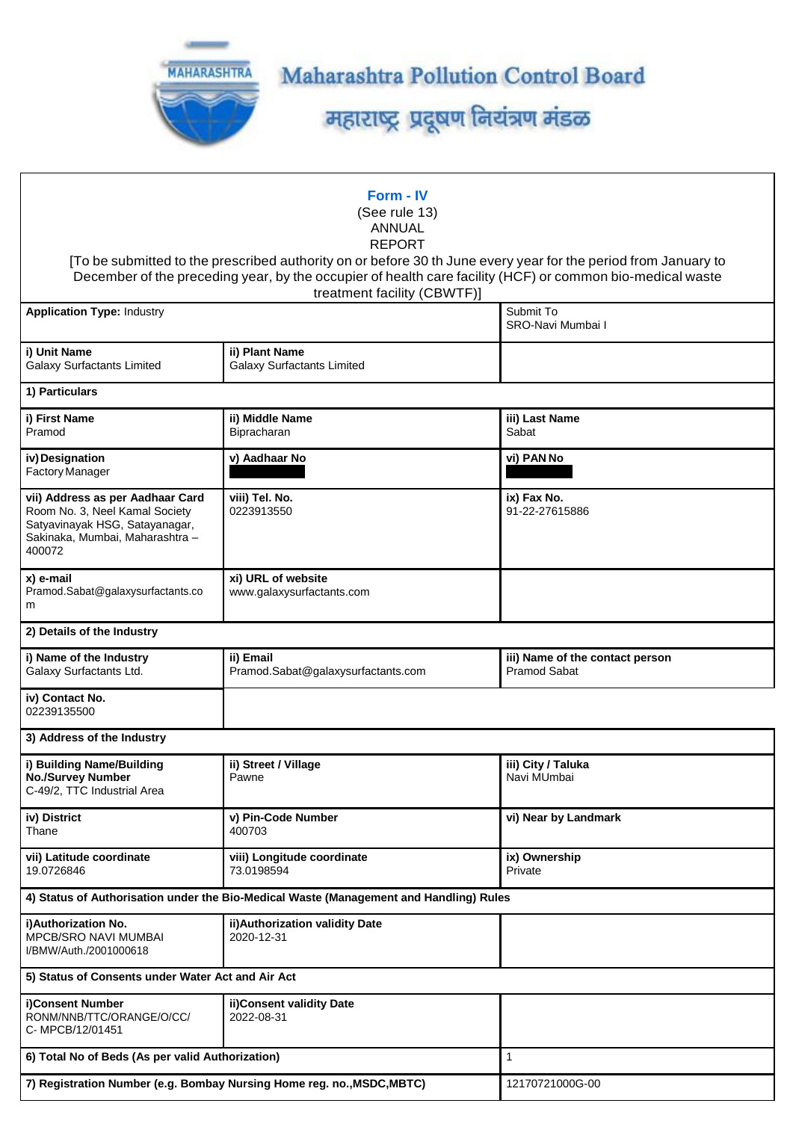

Maharashtra Pollution Control Board

महाराष्ट्र प्रदूषण नियंत्रण मंडळ

| Form - IV<br>(See rule 13)<br><b>ANNUAL</b><br><b>REPORT</b><br>[To be submitted to the prescribed authority on or before 30 th June every year for the period from January to<br>December of the preceding year, by the occupier of health care facility (HCF) or common bio-medical waste<br>treatment facility (CBWTF)] |                                                                                        |                                                        |  |  |  |  |  |  |  |
|----------------------------------------------------------------------------------------------------------------------------------------------------------------------------------------------------------------------------------------------------------------------------------------------------------------------------|----------------------------------------------------------------------------------------|--------------------------------------------------------|--|--|--|--|--|--|--|
| <b>Application Type: Industry</b>                                                                                                                                                                                                                                                                                          | Submit To<br>SRO-Navi Mumbai I                                                         |                                                        |  |  |  |  |  |  |  |
|                                                                                                                                                                                                                                                                                                                            |                                                                                        |                                                        |  |  |  |  |  |  |  |
| i) Unit Name<br><b>Galaxy Surfactants Limited</b>                                                                                                                                                                                                                                                                          | ii) Plant Name<br><b>Galaxy Surfactants Limited</b>                                    |                                                        |  |  |  |  |  |  |  |
| 1) Particulars                                                                                                                                                                                                                                                                                                             |                                                                                        |                                                        |  |  |  |  |  |  |  |
| i) First Name<br>Pramod                                                                                                                                                                                                                                                                                                    | ii) Middle Name<br>Bipracharan                                                         | iii) Last Name<br>Sabat                                |  |  |  |  |  |  |  |
| iv) Designation<br>Factory Manager                                                                                                                                                                                                                                                                                         | v) Aadhaar No                                                                          | vi) PAN No                                             |  |  |  |  |  |  |  |
| vii) Address as per Aadhaar Card<br>Room No. 3, Neel Kamal Society<br>Satyavinayak HSG, Satayanagar,<br>Sakinaka, Mumbai, Maharashtra -<br>400072                                                                                                                                                                          | viii) Tel. No.<br>0223913550                                                           | ix) Fax No.<br>91-22-27615886                          |  |  |  |  |  |  |  |
| x) e-mail<br>Pramod.Sabat@galaxysurfactants.co<br>m                                                                                                                                                                                                                                                                        | xi) URL of website<br>www.galaxysurfactants.com                                        |                                                        |  |  |  |  |  |  |  |
| 2) Details of the Industry                                                                                                                                                                                                                                                                                                 |                                                                                        |                                                        |  |  |  |  |  |  |  |
| i) Name of the Industry<br>Galaxy Surfactants Ltd.                                                                                                                                                                                                                                                                         | ii) Email<br>Pramod.Sabat@galaxysurfactants.com                                        | iii) Name of the contact person<br><b>Pramod Sabat</b> |  |  |  |  |  |  |  |
| iv) Contact No.<br>02239135500                                                                                                                                                                                                                                                                                             |                                                                                        |                                                        |  |  |  |  |  |  |  |
| 3) Address of the Industry                                                                                                                                                                                                                                                                                                 |                                                                                        |                                                        |  |  |  |  |  |  |  |
| i) Building Name/Building<br><b>No./Survey Number</b><br>C-49/2, TTC Industrial Area                                                                                                                                                                                                                                       | ii) Street / Village<br>Pawne                                                          | iii) City / Taluka<br>Navi MUmbai                      |  |  |  |  |  |  |  |
| iv) District<br>Thane                                                                                                                                                                                                                                                                                                      | v) Pin-Code Number<br>400703                                                           | vi) Near by Landmark                                   |  |  |  |  |  |  |  |
| vii) Latitude coordinate<br>19.0726846                                                                                                                                                                                                                                                                                     | viii) Longitude coordinate<br>73.0198594                                               | ix) Ownership<br>Private                               |  |  |  |  |  |  |  |
|                                                                                                                                                                                                                                                                                                                            | 4) Status of Authorisation under the Bio-Medical Waste (Management and Handling) Rules |                                                        |  |  |  |  |  |  |  |
| i)Authorization No.<br><b>MPCB/SRO NAVI MUMBAI</b><br>I/BMW/Auth./2001000618                                                                                                                                                                                                                                               | ii) Authorization validity Date<br>2020-12-31                                          |                                                        |  |  |  |  |  |  |  |
| 5) Status of Consents under Water Act and Air Act                                                                                                                                                                                                                                                                          |                                                                                        |                                                        |  |  |  |  |  |  |  |
| i)Consent Number<br>RONM/NNB/TTC/ORANGE/O/CC/<br>C- MPCB/12/01451                                                                                                                                                                                                                                                          | ii) Consent validity Date<br>2022-08-31                                                |                                                        |  |  |  |  |  |  |  |
| 6) Total No of Beds (As per valid Authorization)                                                                                                                                                                                                                                                                           | $\mathbf{1}$                                                                           |                                                        |  |  |  |  |  |  |  |
| 7) Registration Number (e.g. Bombay Nursing Home reg. no., MSDC, MBTC)                                                                                                                                                                                                                                                     | 12170721000G-00                                                                        |                                                        |  |  |  |  |  |  |  |